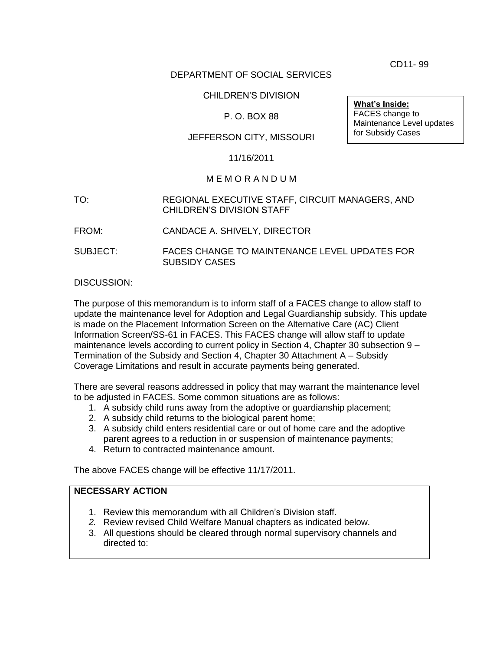CD11- 99

## DEPARTMENT OF SOCIAL SERVICES

## CHILDREN'S DIVISION

## P. O. BOX 88

#### JEFFERSON CITY, MISSOURI

#### 11/16/2011

#### M E M O R A N D U M

- TO: REGIONAL EXECUTIVE STAFF, CIRCUIT MANAGERS, AND CHILDREN'S DIVISION STAFF
- FROM: CANDACE A. SHIVELY, DIRECTOR
- SUBJECT: FACES CHANGE TO MAINTENANCE LEVEL UPDATES FOR SUBSIDY CASES

#### DISCUSSION:

The purpose of this memorandum is to inform staff of a FACES change to allow staff to update the maintenance level for Adoption and Legal Guardianship subsidy. This update is made on the Placement Information Screen on the Alternative Care (AC) Client Information Screen/SS-61 in FACES. This FACES change will allow staff to update maintenance levels according to current policy in Section 4, Chapter 30 subsection 9 – Termination of the Subsidy and Section 4, Chapter 30 Attachment A – Subsidy Coverage Limitations and result in accurate payments being generated.

There are several reasons addressed in policy that may warrant the maintenance level to be adjusted in FACES. Some common situations are as follows:

- 1. A subsidy child runs away from the adoptive or guardianship placement;
- 2. A subsidy child returns to the biological parent home;
- 3. A subsidy child enters residential care or out of home care and the adoptive parent agrees to a reduction in or suspension of maintenance payments;
- 4. Return to contracted maintenance amount.

The above FACES change will be effective 11/17/2011.

# **NECESSARY ACTION**

- 1. Review this memorandum with all Children's Division staff.
- *2.* Review revised Child Welfare Manual chapters as indicated below.
- 3. All questions should be cleared through normal supervisory channels and directed to:

**What's Inside:** FACES change to Maintenance Level updates for Subsidy Cases